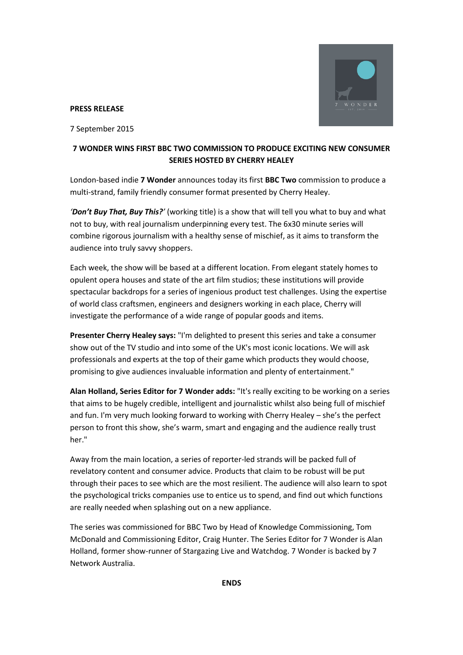

## **PRESS RELEASE**

7 September 2015

## **7 WONDER WINS FIRST BBC TWO COMMISSION TO PRODUCE EXCITING NEW CONSUMER SERIES HOSTED BY CHERRY HEALEY**

London-based indie **7 Wonder** announces today its first **BBC Two** commission to produce a multi-strand, family friendly consumer format presented by Cherry Healey.

*'Don't Buy That, Buy This?'* (working title) is a show that will tell you what to buy and what not to buy, with real journalism underpinning every test. The 6x30 minute series will combine rigorous journalism with a healthy sense of mischief, as it aims to transform the audience into truly savvy shoppers.

Each week, the show will be based at a different location. From elegant stately homes to opulent opera houses and state of the art film studios; these institutions will provide spectacular backdrops for a series of ingenious product test challenges. Using the expertise of world class craftsmen, engineers and designers working in each place, Cherry will investigate the performance of a wide range of popular goods and items.

**Presenter Cherry Healey says:** "I'm delighted to present this series and take a consumer show out of the TV studio and into some of the UK's most iconic locations. We will ask professionals and experts at the top of their game which products they would choose, promising to give audiences invaluable information and plenty of entertainment."

**Alan Holland, Series Editor for 7 Wonder adds:** "It's really exciting to be working on a series that aims to be hugely credible, intelligent and journalistic whilst also being full of mischief and fun. I'm very much looking forward to working with Cherry Healey – she's the perfect person to front this show, she's warm, smart and engaging and the audience really trust her."

Away from the main location, a series of reporter-led strands will be packed full of revelatory content and consumer advice. Products that claim to be robust will be put through their paces to see which are the most resilient. The audience will also learn to spot the psychological tricks companies use to entice us to spend, and find out which functions are really needed when splashing out on a new appliance.

The series was commissioned for BBC Two by Head of Knowledge Commissioning, Tom McDonald and Commissioning Editor, Craig Hunter. The Series Editor for 7 Wonder is Alan Holland, former show-runner of Stargazing Live and Watchdog. 7 Wonder is backed by 7 Network Australia.